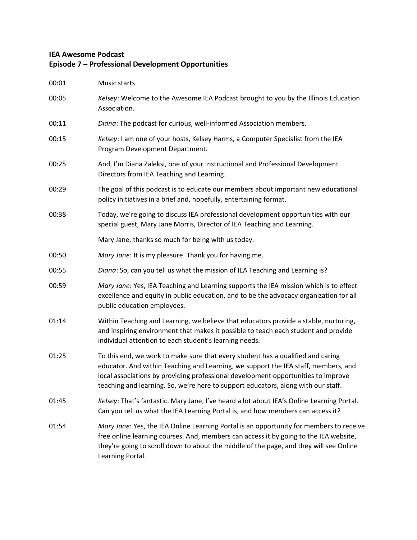## **IEA Awesome Podcast Episode 7 – Professional Development Opportunities**

| 00:01 | Music starts                                                                                                                                                                                                                                                                                                                                    |
|-------|-------------------------------------------------------------------------------------------------------------------------------------------------------------------------------------------------------------------------------------------------------------------------------------------------------------------------------------------------|
| 00:05 | Kelsey: Welcome to the Awesome IEA Podcast brought to you by the Illinois Education<br>Association.                                                                                                                                                                                                                                             |
| 00:11 | Diana: The podcast for curious, well-informed Association members.                                                                                                                                                                                                                                                                              |
| 00:15 | Kelsey: I am one of your hosts, Kelsey Harms, a Computer Specialist from the IEA<br>Program Development Department.                                                                                                                                                                                                                             |
| 00:25 | And, I'm Diana Zaleksi, one of your Instructional and Professional Development<br>Directors from IEA Teaching and Learning.                                                                                                                                                                                                                     |
| 00:29 | The goal of this podcast is to educate our members about important new educational<br>policy initiatives in a brief and, hopefully, entertaining format.                                                                                                                                                                                        |
| 00:38 | Today, we're going to discuss IEA professional development opportunities with our<br>special guest, Mary Jane Morris, Director of IEA Teaching and Learning.                                                                                                                                                                                    |
|       | Mary Jane, thanks so much for being with us today.                                                                                                                                                                                                                                                                                              |
| 00:50 | Mary Jane: It is my pleasure. Thank you for having me.                                                                                                                                                                                                                                                                                          |
| 00:55 | Diana: So, can you tell us what the mission of IEA Teaching and Learning is?                                                                                                                                                                                                                                                                    |
| 00:59 | Mary Jane: Yes, IEA Teaching and Learning supports the IEA mission which is to effect<br>excellence and equity in public education, and to be the advocacy organization for all<br>public education employees.                                                                                                                                  |
| 01:14 | Within Teaching and Learning, we believe that educators provide a stable, nurturing,<br>and inspiring environment that makes it possible to teach each student and provide<br>individual attention to each student's learning needs.                                                                                                            |
| 01:25 | To this end, we work to make sure that every student has a qualified and caring<br>educator. And within Teaching and Learning, we support the IEA staff, members, and<br>local associations by providing professional development opportunities to improve<br>teaching and learning. So, we're here to support educators, along with our staff. |
| 01:45 | Kelsey: That's fantastic. Mary Jane, I've heard a lot about IEA's Online Learning Portal.<br>Can you tell us what the IEA Learning Portal is, and how members can access it?                                                                                                                                                                    |
| 01:54 | Mary Jane: Yes, the IEA Online Learning Portal is an opportunity for members to receive<br>free online learning courses. And, members can access it by going to the IEA website,<br>they're going to scroll down to about the middle of the page, and they will see Online<br>Learning Portal.                                                  |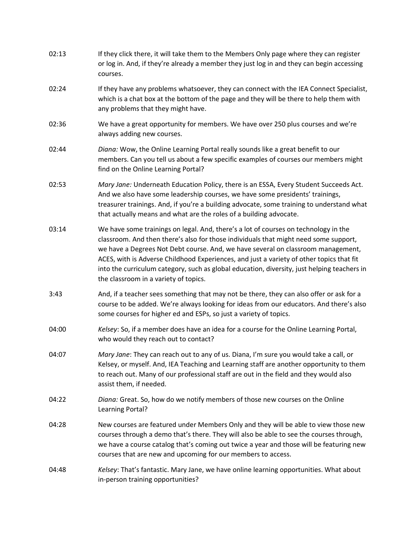| 02:13 | If they click there, it will take them to the Members Only page where they can register<br>or log in. And, if they're already a member they just log in and they can begin accessing<br>courses.                                                                                                                                                                                                                                                                                                    |
|-------|-----------------------------------------------------------------------------------------------------------------------------------------------------------------------------------------------------------------------------------------------------------------------------------------------------------------------------------------------------------------------------------------------------------------------------------------------------------------------------------------------------|
| 02:24 | If they have any problems whatsoever, they can connect with the IEA Connect Specialist,<br>which is a chat box at the bottom of the page and they will be there to help them with<br>any problems that they might have.                                                                                                                                                                                                                                                                             |
| 02:36 | We have a great opportunity for members. We have over 250 plus courses and we're<br>always adding new courses.                                                                                                                                                                                                                                                                                                                                                                                      |
| 02:44 | Diana: Wow, the Online Learning Portal really sounds like a great benefit to our<br>members. Can you tell us about a few specific examples of courses our members might<br>find on the Online Learning Portal?                                                                                                                                                                                                                                                                                      |
| 02:53 | Mary Jane: Underneath Education Policy, there is an ESSA, Every Student Succeeds Act.<br>And we also have some leadership courses, we have some presidents' trainings,<br>treasurer trainings. And, if you're a building advocate, some training to understand what<br>that actually means and what are the roles of a building advocate.                                                                                                                                                           |
| 03:14 | We have some trainings on legal. And, there's a lot of courses on technology in the<br>classroom. And then there's also for those individuals that might need some support,<br>we have a Degrees Not Debt course. And, we have several on classroom management,<br>ACES, with is Adverse Childhood Experiences, and just a variety of other topics that fit<br>into the curriculum category, such as global education, diversity, just helping teachers in<br>the classroom in a variety of topics. |
| 3:43  | And, if a teacher sees something that may not be there, they can also offer or ask for a<br>course to be added. We're always looking for ideas from our educators. And there's also<br>some courses for higher ed and ESPs, so just a variety of topics.                                                                                                                                                                                                                                            |
| 04:00 | Kelsey: So, if a member does have an idea for a course for the Online Learning Portal,<br>who would they reach out to contact?                                                                                                                                                                                                                                                                                                                                                                      |
| 04:07 | Mary Jane: They can reach out to any of us. Diana, I'm sure you would take a call, or<br>Kelsey, or myself. And, IEA Teaching and Learning staff are another opportunity to them<br>to reach out. Many of our professional staff are out in the field and they would also<br>assist them, if needed.                                                                                                                                                                                                |
| 04:22 | Diana: Great. So, how do we notify members of those new courses on the Online<br>Learning Portal?                                                                                                                                                                                                                                                                                                                                                                                                   |
| 04:28 | New courses are featured under Members Only and they will be able to view those new<br>courses through a demo that's there. They will also be able to see the courses through,<br>we have a course catalog that's coming out twice a year and those will be featuring new<br>courses that are new and upcoming for our members to access.                                                                                                                                                           |
| 04:48 | Kelsey: That's fantastic. Mary Jane, we have online learning opportunities. What about<br>in-person training opportunities?                                                                                                                                                                                                                                                                                                                                                                         |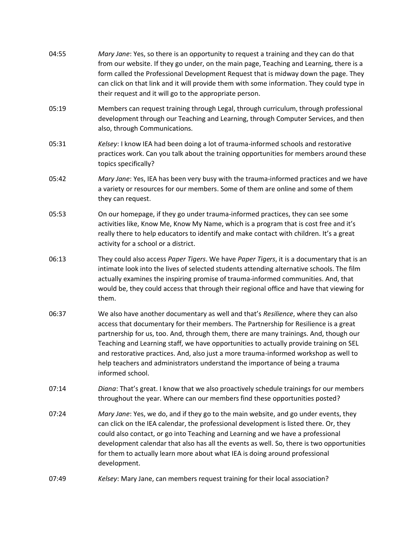| 04:55 | Mary Jane: Yes, so there is an opportunity to request a training and they can do that<br>from our website. If they go under, on the main page, Teaching and Learning, there is a<br>form called the Professional Development Request that is midway down the page. They<br>can click on that link and it will provide them with some information. They could type in<br>their request and it will go to the appropriate person.                                                                                                                            |
|-------|------------------------------------------------------------------------------------------------------------------------------------------------------------------------------------------------------------------------------------------------------------------------------------------------------------------------------------------------------------------------------------------------------------------------------------------------------------------------------------------------------------------------------------------------------------|
| 05:19 | Members can request training through Legal, through curriculum, through professional<br>development through our Teaching and Learning, through Computer Services, and then<br>also, through Communications.                                                                                                                                                                                                                                                                                                                                                |
| 05:31 | Kelsey: I know IEA had been doing a lot of trauma-informed schools and restorative<br>practices work. Can you talk about the training opportunities for members around these<br>topics specifically?                                                                                                                                                                                                                                                                                                                                                       |
| 05:42 | Mary Jane: Yes, IEA has been very busy with the trauma-informed practices and we have<br>a variety or resources for our members. Some of them are online and some of them<br>they can request.                                                                                                                                                                                                                                                                                                                                                             |
| 05:53 | On our homepage, if they go under trauma-informed practices, they can see some<br>activities like, Know Me, Know My Name, which is a program that is cost free and it's<br>really there to help educators to identify and make contact with children. It's a great<br>activity for a school or a district.                                                                                                                                                                                                                                                 |
| 06:13 | They could also access Paper Tigers. We have Paper Tigers, it is a documentary that is an<br>intimate look into the lives of selected students attending alternative schools. The film<br>actually examines the inspiring promise of trauma-informed communities. And, that<br>would be, they could access that through their regional office and have that viewing for<br>them.                                                                                                                                                                           |
| 06:37 | We also have another documentary as well and that's Resilience, where they can also<br>access that documentary for their members. The Partnership for Resilience is a great<br>partnership for us, too. And, through them, there are many trainings. And, though our<br>Teaching and Learning staff, we have opportunities to actually provide training on SEL<br>and restorative practices. And, also just a more trauma-informed workshop as well to<br>help teachers and administrators understand the importance of being a trauma<br>informed school. |
| 07:14 | Diana: That's great. I know that we also proactively schedule trainings for our members<br>throughout the year. Where can our members find these opportunities posted?                                                                                                                                                                                                                                                                                                                                                                                     |
| 07:24 | Mary Jane: Yes, we do, and if they go to the main website, and go under events, they<br>can click on the IEA calendar, the professional development is listed there. Or, they<br>could also contact, or go into Teaching and Learning and we have a professional<br>development calendar that also has all the events as well. So, there is two opportunities<br>for them to actually learn more about what IEA is doing around professional<br>development.                                                                                               |
| 07:49 | Kelsey: Mary Jane, can members request training for their local association?                                                                                                                                                                                                                                                                                                                                                                                                                                                                               |